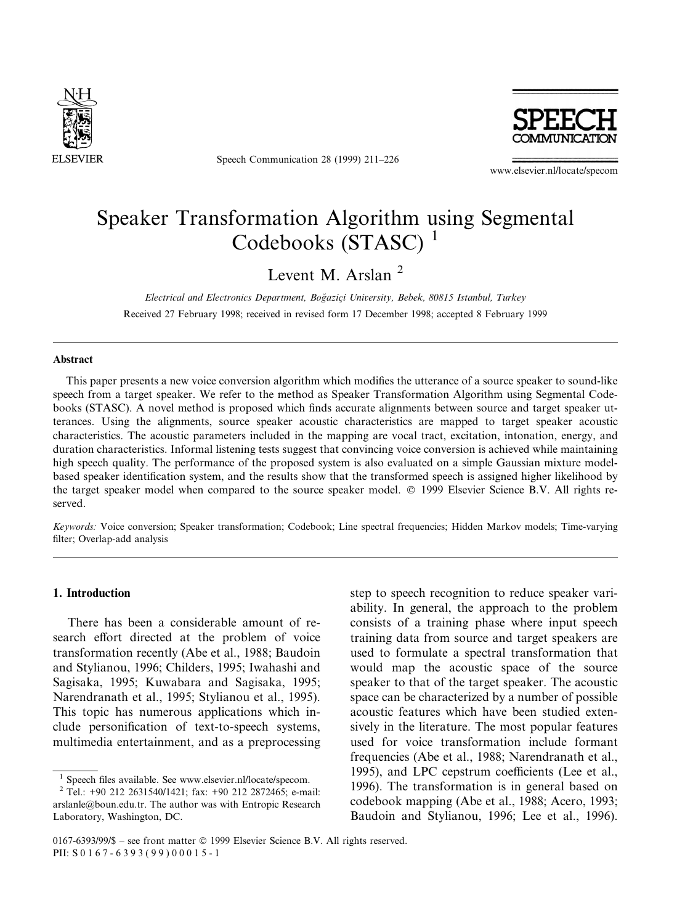

Speech Communication 28 (1999) 211-226



www.elsevier.nl/locate/specom

# Speaker Transformation Algorithm using Segmental Codebooks (STASC) <sup>1</sup>

Levent M. Arslan<sup>2</sup>

Electrical and Electronics Department, Boğaziçi University, Bebek, 80815 Istanbul, Turkey Received 27 February 1998; received in revised form 17 December 1998; accepted 8 February 1999

## Abstract

This paper presents a new voice conversion algorithm which modifies the utterance of a source speaker to sound-like speech from a target speaker. We refer to the method as Speaker Transformation Algorithm using Segmental Codebooks (STASC). A novel method is proposed which finds accurate alignments between source and target speaker utterances. Using the alignments, source speaker acoustic characteristics are mapped to target speaker acoustic characteristics. The acoustic parameters included in the mapping are vocal tract, excitation, intonation, energy, and duration characteristics. Informal listening tests suggest that convincing voice conversion is achieved while maintaining high speech quality. The performance of the proposed system is also evaluated on a simple Gaussian mixture modelbased speaker identification system, and the results show that the transformed speech is assigned higher likelihood by the target speaker model when compared to the source speaker model. Ó 1999 Elsevier Science B.V. All rights reserved.

Keywords: Voice conversion; Speaker transformation; Codebook; Line spectral frequencies; Hidden Markov models; Time-varying filter; Overlap-add analysis

# 1. Introduction

There has been a considerable amount of research effort directed at the problem of voice transformation recently (Abe et al., 1988; Baudoin and Stylianou, 1996; Childers, 1995; Iwahashi and Sagisaka, 1995; Kuwabara and Sagisaka, 1995; Narendranath et al., 1995; Stylianou et al., 1995). This topic has numerous applications which include personification of text-to-speech systems, multimedia entertainment, and as a preprocessing

step to speech recognition to reduce speaker variability. In general, the approach to the problem consists of a training phase where input speech training data from source and target speakers are used to formulate a spectral transformation that would map the acoustic space of the source speaker to that of the target speaker. The acoustic space can be characterized by a number of possible acoustic features which have been studied extensively in the literature. The most popular features used for voice transformation include formant frequencies (Abe et al., 1988; Narendranath et al., 1995), and LPC cepstrum coefficients (Lee et al., 1996). The transformation is in general based on codebook mapping (Abe et al., 1988; Acero, 1993; Baudoin and Stylianou, 1996; Lee et al., 1996).

<sup>&</sup>lt;sup>1</sup> Speech files available. See www.elsevier.nl/locate/specom. <sup>2</sup> Tel.: +90 212 2631540/1421; fax: +90 212 2872465; e-mail:

arslanle@boun.edu.tr. The author was with Entropic Research Laboratory, Washington, DC.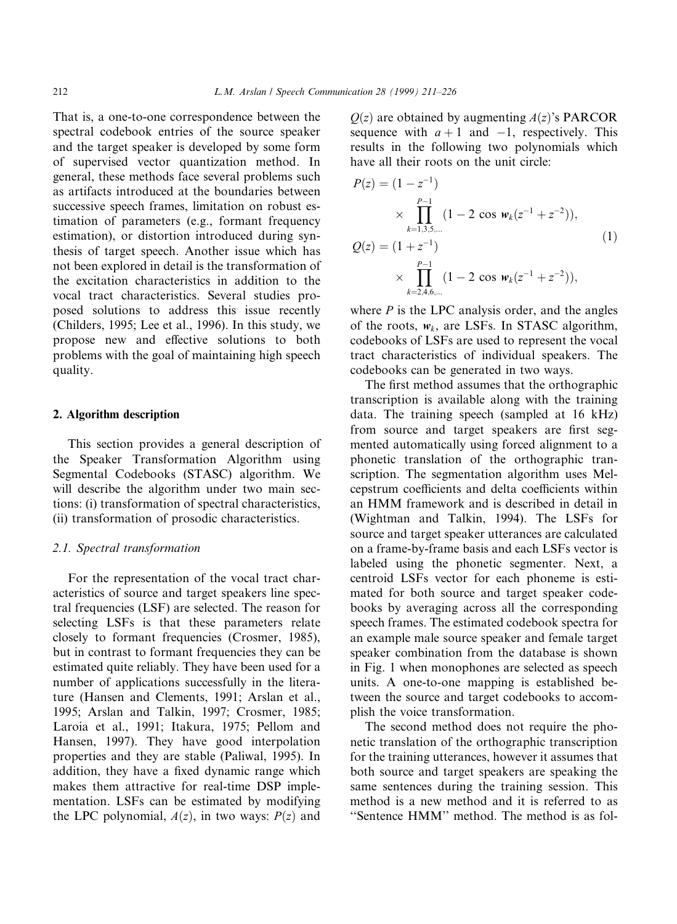That is, a one-to-one correspondence between the spectral codebook entries of the source speaker and the target speaker is developed by some form of supervised vector quantization method. In general, these methods face several problems such as artifacts introduced at the boundaries between successive speech frames, limitation on robust estimation of parameters (e.g., formant frequency estimation), or distortion introduced during synthesis of target speech. Another issue which has not been explored in detail is the transformation of the excitation characteristics in addition to the vocal tract characteristics. Several studies proposed solutions to address this issue recently (Childers, 1995; Lee et al., 1996). In this study, we propose new and effective solutions to both problems with the goal of maintaining high speech quality.

## 2. Algorithm description

This section provides a general description of the Speaker Transformation Algorithm using Segmental Codebooks (STASC) algorithm. We will describe the algorithm under two main sections: (i) transformation of spectral characteristics, (ii) transformation of prosodic characteristics.

# 2.1. Spectral transformation

For the representation of the vocal tract characteristics of source and target speakers line spectral frequencies (LSF) are selected. The reason for selecting LSFs is that these parameters relate closely to formant frequencies (Crosmer, 1985), but in contrast to formant frequencies they can be estimated quite reliably. They have been used for a number of applications successfully in the literature (Hansen and Clements, 1991; Arslan et al., 1995; Arslan and Talkin, 1997; Crosmer, 1985; Laroia et al., 1991; Itakura, 1975; Pellom and Hansen, 1997). They have good interpolation properties and they are stable (Paliwal, 1995). In addition, they have a fixed dynamic range which makes them attractive for real-time DSP implementation. LSFs can be estimated by modifying the LPC polynomial,  $A(z)$ , in two ways:  $P(z)$  and

 $Q(z)$  are obtained by augmenting  $A(z)$ 's PARCOR sequence with  $a + 1$  and  $-1$ , respectively. This results in the following two polynomials which have all their roots on the unit circle:

$$
P(z) = (1 - z^{-1})
$$
  
\n
$$
\times \prod_{k=1,3,5,...}^{P-1} (1 - 2 \cos w_k (z^{-1} + z^{-2})),
$$
  
\n
$$
Q(z) = (1 + z^{-1})
$$
  
\n
$$
\times \prod_{k=2,4,6,...}^{P-1} (1 - 2 \cos w_k (z^{-1} + z^{-2})),
$$
  
\n(1)

where  $P$  is the LPC analysis order, and the angles of the roots,  $w_k$ , are LSFs. In STASC algorithm, codebooks of LSFs are used to represent the vocal tract characteristics of individual speakers. The codebooks can be generated in two ways.

The first method assumes that the orthographic transcription is available along with the training data. The training speech (sampled at 16 kHz) from source and target speakers are first segmented automatically using forced alignment to a phonetic translation of the orthographic transcription. The segmentation algorithm uses Melcepstrum coefficients and delta coefficients within an HMM framework and is described in detail in (Wightman and Talkin, 1994). The LSFs for source and target speaker utterances are calculated on a frame-by-frame basis and each LSFs vector is labeled using the phonetic segmenter. Next, a centroid LSFs vector for each phoneme is estimated for both source and target speaker codebooks by averaging across all the corresponding speech frames. The estimated codebook spectra for an example male source speaker and female target speaker combination from the database is shown in Fig. 1 when monophones are selected as speech units. A one-to-one mapping is established between the source and target codebooks to accomplish the voice transformation.

The second method does not require the phonetic translation of the orthographic transcription for the training utterances, however it assumes that both source and target speakers are speaking the same sentences during the training session. This method is a new method and it is referred to as ``Sentence HMM'' method. The method is as fol-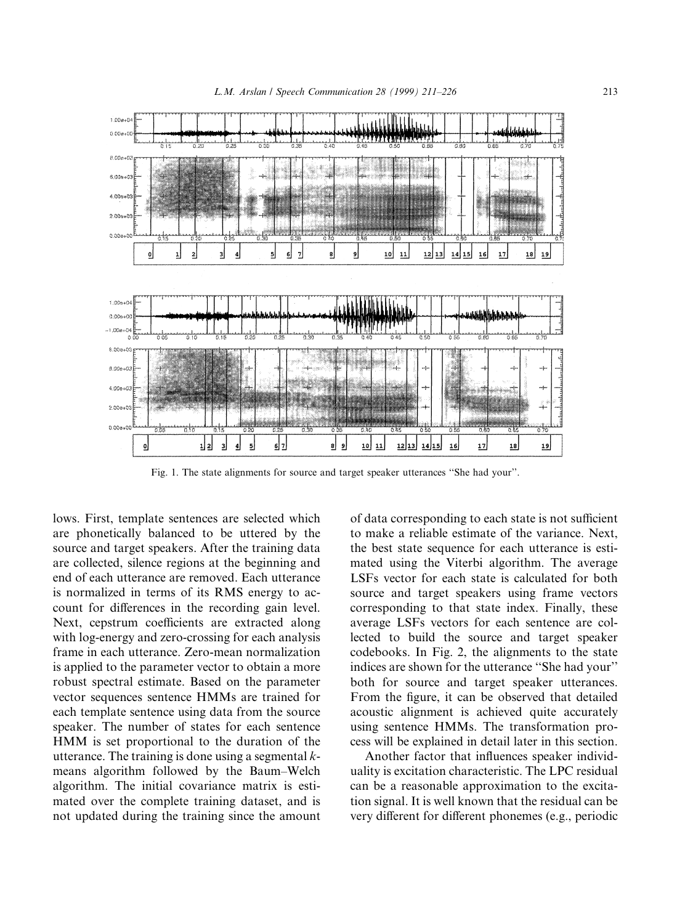

Fig. 1. The state alignments for source and target speaker utterances "She had your".

lows. First, template sentences are selected which are phonetically balanced to be uttered by the source and target speakers. After the training data are collected, silence regions at the beginning and end of each utterance are removed. Each utterance is normalized in terms of its RMS energy to account for differences in the recording gain level. Next, cepstrum coefficients are extracted along with log-energy and zero-crossing for each analysis frame in each utterance. Zero-mean normalization is applied to the parameter vector to obtain a more robust spectral estimate. Based on the parameter vector sequences sentence HMMs are trained for each template sentence using data from the source speaker. The number of states for each sentence HMM is set proportional to the duration of the utterance. The training is done using a segmental  $k$ means algorithm followed by the Baum-Welch algorithm. The initial covariance matrix is estimated over the complete training dataset, and is not updated during the training since the amount of data corresponding to each state is not sufficient to make a reliable estimate of the variance. Next, the best state sequence for each utterance is estimated using the Viterbi algorithm. The average LSFs vector for each state is calculated for both source and target speakers using frame vectors corresponding to that state index. Finally, these average LSFs vectors for each sentence are collected to build the source and target speaker codebooks. In Fig. 2, the alignments to the state indices are shown for the utterance "She had your" both for source and target speaker utterances. From the figure, it can be observed that detailed acoustic alignment is achieved quite accurately using sentence HMMs. The transformation process will be explained in detail later in this section.

Another factor that influences speaker individuality is excitation characteristic. The LPC residual can be a reasonable approximation to the excitation signal. It is well known that the residual can be very different for different phonemes (e.g., periodic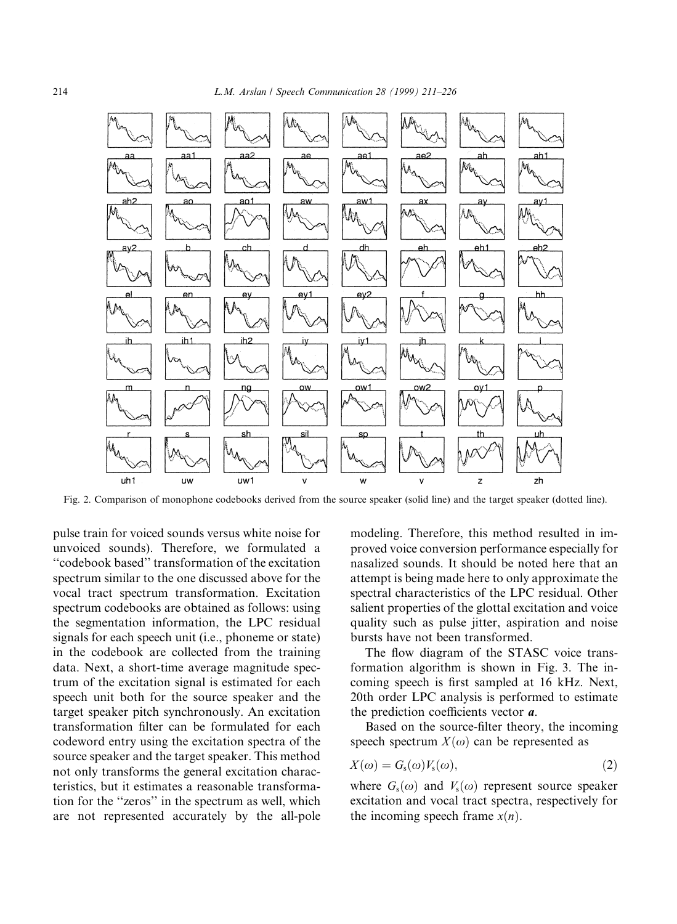

Fig. 2. Comparison of monophone codebooks derived from the source speaker (solid line) and the target speaker (dotted line).

pulse train for voiced sounds versus white noise for unvoiced sounds). Therefore, we formulated a ``codebook based'' transformation of the excitation spectrum similar to the one discussed above for the vocal tract spectrum transformation. Excitation spectrum codebooks are obtained as follows: using the segmentation information, the LPC residual signals for each speech unit (i.e., phoneme or state) in the codebook are collected from the training data. Next, a short-time average magnitude spectrum of the excitation signal is estimated for each speech unit both for the source speaker and the target speaker pitch synchronously. An excitation transformation filter can be formulated for each codeword entry using the excitation spectra of the source speaker and the target speaker. This method not only transforms the general excitation characteristics, but it estimates a reasonable transformation for the "zeros" in the spectrum as well, which are not represented accurately by the all-pole modeling. Therefore, this method resulted in improved voice conversion performance especially for nasalized sounds. It should be noted here that an attempt is being made here to only approximate the spectral characteristics of the LPC residual. Other salient properties of the glottal excitation and voice quality such as pulse jitter, aspiration and noise bursts have not been transformed.

The flow diagram of the STASC voice transformation algorithm is shown in Fig. 3. The incoming speech is first sampled at 16 kHz. Next, 20th order LPC analysis is performed to estimate the prediction coefficients vector  $a$ .

Based on the source-filter theory, the incoming speech spectrum  $X(\omega)$  can be represented as

$$
X(\omega) = G_{\rm s}(\omega)V_{\rm s}(\omega),\tag{2}
$$

where  $G_s(\omega)$  and  $V_s(\omega)$  represent source speaker excitation and vocal tract spectra, respectively for the incoming speech frame  $x(n)$ .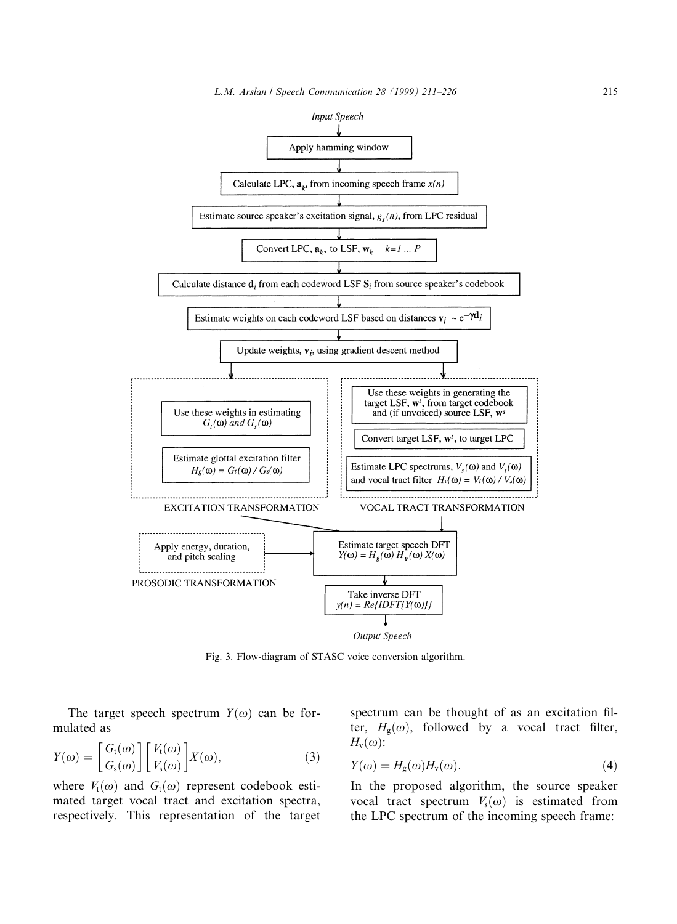

Fig. 3. Flow-diagram of STASC voice conversion algorithm.

The target speech spectrum  $Y(\omega)$  can be formulated as

$$
Y(\omega) = \left[\frac{G_{t}(\omega)}{G_{s}(\omega)}\right] \left[\frac{V_{t}(\omega)}{V_{s}(\omega)}\right] X(\omega),\tag{3}
$$

where  $V_t(\omega)$  and  $G_t(\omega)$  represent codebook estimated target vocal tract and excitation spectra, respectively. This representation of the target spectrum can be thought of as an excitation filter,  $H_{\rm g}(\omega)$ , followed by a vocal tract filter,  $H_{\nu}(\omega)$ :

$$
Y(\omega) = H_{\rm g}(\omega) H_{\rm v}(\omega). \tag{4}
$$

In the proposed algorithm, the source speaker vocal tract spectrum  $V_s(\omega)$  is estimated from the LPC spectrum of the incoming speech frame: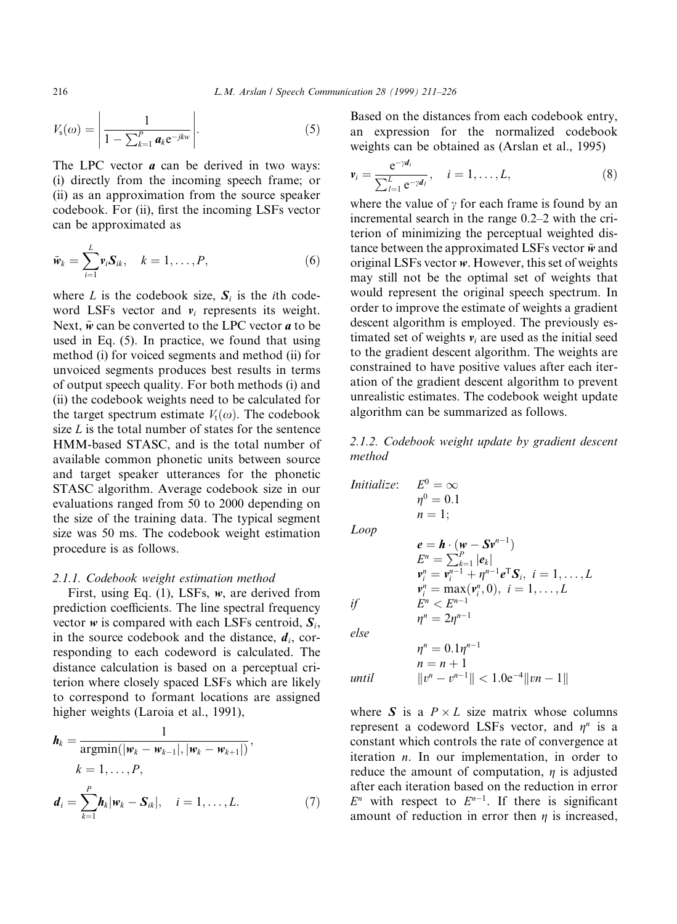$$
V_{\rm s}(\omega) = \left| \frac{1}{1 - \sum_{k=1}^{P} a_k e^{-jkw}} \right|.
$$
 (5)

The LPC vector  $a$  can be derived in two ways: (i) directly from the incoming speech frame; or (ii) as an approximation from the source speaker codebook. For (ii), first the incoming LSFs vector can be approximated as

$$
\tilde{\mathbf{w}}_k = \sum_{i=1}^L \mathbf{v}_i \mathbf{S}_{ik}, \quad k = 1, \dots, P, \tag{6}
$$

where L is the codebook size,  $S_i$  is the *i*th codeword LSFs vector and  $v_i$  represents its weight. Next,  $\tilde{w}$  can be converted to the LPC vector  $\boldsymbol{a}$  to be used in Eq. (5). In practice, we found that using method (i) for voiced segments and method (ii) for unvoiced segments produces best results in terms of output speech quality. For both methods (i) and (ii) the codebook weights need to be calculated for the target spectrum estimate  $V_t(\omega)$ . The codebook size  $L$  is the total number of states for the sentence HMM-based STASC, and is the total number of available common phonetic units between source and target speaker utterances for the phonetic STASC algorithm. Average codebook size in our evaluations ranged from 50 to 2000 depending on the size of the training data. The typical segment size was 50 ms. The codebook weight estimation procedure is as follows.

#### 2.1.1. Codebook weight estimation method

First, using Eq. (1), LSFs, w, are derived from prediction coefficients. The line spectral frequency vector w is compared with each LSFs centroid,  $S_i$ , in the source codebook and the distance,  $d_i$ , corresponding to each codeword is calculated. The distance calculation is based on a perceptual criterion where closely spaced LSFs which are likely to correspond to formant locations are assigned higher weights (Laroia et al., 1991),

$$
\boldsymbol{h}_{k} = \frac{1}{\operatorname{argmin}(|\boldsymbol{w}_{k} - \boldsymbol{w}_{k-1}|, |\boldsymbol{w}_{k} - \boldsymbol{w}_{k+1}|)},
$$
\n
$$
k = 1, \dots, P,
$$
\n
$$
\boldsymbol{d}_{i} = \sum_{k=1}^{P} \boldsymbol{h}_{k} |\boldsymbol{w}_{k} - \boldsymbol{S}_{ik}|, \quad i = 1, \dots, L.
$$
\n(7)

Based on the distances from each codebook entry, an expression for the normalized codebook weights can be obtained as (Arslan et al., 1995)

$$
\mathbf{v}_{i} = \frac{\mathbf{e}^{-\gamma d_{i}}}{\sum_{l=1}^{L} \mathbf{e}^{-\gamma d_{l}}}, \quad i = 1, \dots, L,
$$
 (8)

where the value of  $\gamma$  for each frame is found by an incremental search in the range  $0.2-2$  with the criterion of minimizing the perceptual weighted distance between the approximated LSFs vector  $\tilde{w}$  and original LSFs vector  $w$ . However, this set of weights may still not be the optimal set of weights that would represent the original speech spectrum. In order to improve the estimate of weights a gradient descent algorithm is employed. The previously estimated set of weights  $v_i$  are used as the initial seed to the gradient descent algorithm. The weights are constrained to have positive values after each iteration of the gradient descent algorithm to prevent unrealistic estimates. The codebook weight update algorithm can be summarized as follows.

# 2.1.2. Codebook weight update by gradient descent method

$$
\begin{array}{ll}\n\text{Initialize:} & E^0 = \infty \\
& \eta^0 = 0.1 \\
& n = 1; \\
\text{Loop} & \mathbf{e} = \mathbf{h} \cdot (\mathbf{w} - \mathbf{S} \mathbf{v}^{n-1}) \\
& E^n = \sum_{k=1}^P |\mathbf{e}_k| \\
& \mathbf{v}_i^n = \mathbf{v}_i^{n-1} + \eta^{n-1} \mathbf{e}^T \mathbf{S}_i, \quad i = 1, \dots, L \\
& \mathbf{v}_i^n = \max(\mathbf{v}_i^n, 0), \quad i = 1, \dots, L \\
& \text{if} & E^n < E^{n-1} \\
& \eta^n = 2\eta^{n-1} \\
& \text{else} & \eta^n = 0.1\eta^{n-1} \\
& n = n + 1 \\
\text{until} & \|v^n - v^{n-1}\| < 1.0\mathrm{e}^{-4} \| \mathbf{v} n - 1 \|\n\end{array}
$$

where S is a  $P \times L$  size matrix whose columns represent a codeword LSFs vector, and  $\eta^n$  is a constant which controls the rate of convergence at iteration n. In our implementation, in order to reduce the amount of computation,  $\eta$  is adjusted after each iteration based on the reduction in error  $E<sup>n</sup>$  with respect to  $E<sup>n-1</sup>$ . If there is significant amount of reduction in error then  $\eta$  is increased,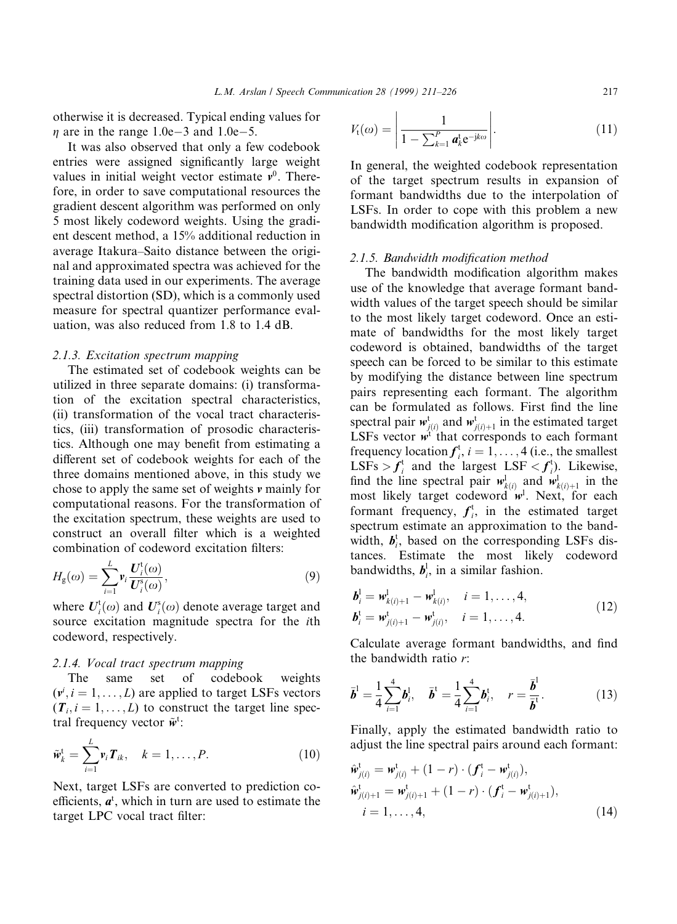otherwise it is decreased. Typical ending values for  $\eta$  are in the range 1.0e–3 and 1.0e–5.

It was also observed that only a few codebook entries were assigned significantly large weight values in initial weight vector estimate  $v^0$ . Therefore, in order to save computational resources the gradient descent algorithm was performed on only 5 most likely codeword weights. Using the gradient descent method, a 15% additional reduction in average Itakura–Saito distance between the original and approximated spectra was achieved for the training data used in our experiments. The average spectral distortion (SD), which is a commonly used measure for spectral quantizer performance evaluation, was also reduced from 1.8 to 1.4 dB.

## 2.1.3. Excitation spectrum mapping

The estimated set of codebook weights can be utilized in three separate domains: (i) transformation of the excitation spectral characteristics, (ii) transformation of the vocal tract characteristics, (iii) transformation of prosodic characteristics. Although one may benefit from estimating a different set of codebook weights for each of the three domains mentioned above, in this study we chose to apply the same set of weights v mainly for computational reasons. For the transformation of the excitation spectrum, these weights are used to construct an overall filter which is a weighted combination of codeword excitation filters:

$$
H_{\mathbf{g}}(\omega) = \sum_{i=1}^{L} \mathbf{v}_i \frac{\mathbf{U}_i^{\mathbf{t}}(\omega)}{\mathbf{U}_i^{\mathbf{s}}(\omega)},\tag{9}
$$

where  $\bm{U}_i^{\text{t}}(\omega)$  and  $\bm{U}_i^{\text{s}}(\omega)$  denote average target and source excitation magnitude spectra for the ith codeword, respectively.

# 2.1.4. Vocal tract spectrum mapping

The same set of codebook weights  $(v^i, i = 1, \dots, L)$  are applied to target LSFs vectors  $(T_i, i = 1, \ldots, L)$  to construct the target line spectral frequency vector  $\tilde{w}^t$ :

$$
\widetilde{\boldsymbol{w}}_k^{\mathrm{t}} = \sum_{i=1}^L \boldsymbol{v}_i \boldsymbol{T}_{ik}, \quad k = 1, \dots, P. \tag{10}
$$

Next, target LSFs are converted to prediction coefficients,  $a^t$ , which in turn are used to estimate the target LPC vocal tract filter:

$$
V_{t}(\omega) = \left| \frac{1}{1 - \sum_{k=1}^{P} a_{k}^{\mathsf{t}} e^{-\mathsf{j}k\omega}} \right|.
$$
 (11)

In general, the weighted codebook representation of the target spectrum results in expansion of formant bandwidths due to the interpolation of LSFs. In order to cope with this problem a new bandwidth modification algorithm is proposed.

#### 2.1.5. Bandwidth modification method

The bandwidth modification algorithm makes use of the knowledge that average formant bandwidth values of the target speech should be similar to the most likely target codeword. Once an estimate of bandwidths for the most likely target codeword is obtained, bandwidths of the target speech can be forced to be similar to this estimate by modifying the distance between line spectrum pairs representing each formant. The algorithm can be formulated as follows. First find the line spectral pair  $w_{j(i)}^{\text{t}}$  and  $w_{j(i)+1}^{\text{t}}$  in the estimated target LSFs vector  $\vec{w}^t$  that corresponds to each formant frequency location  $f_i^t$ ,  $i = 1, ..., 4$  (i.e., the smallest LSFs >  $f_i^t$  and the largest LSF <  $f_i^t$ ). Likewise, find the line spectral pair  $w_{k(i)}^{\perp}$  and  $w_{k(i)+1}^{\perp}$  in the most likely target codeword  $w<sup>1</sup>$ . Next, for each formant frequency,  $f_i^t$ , in the estimated target spectrum estimate an approximation to the bandwidth,  $b_i^t$ , based on the corresponding LSFs distances. Estimate the most likely codeword bandwidths,  $b_i^l$ , in a similar fashion.

$$
\begin{aligned} \boldsymbol{b}_i^1 &= \boldsymbol{w}_{k(i)+1}^1 - \boldsymbol{w}_{k(i)}^1, \quad i = 1, \dots, 4, \\ \boldsymbol{b}_i^t &= \boldsymbol{w}_{j(i)+1}^t - \boldsymbol{w}_{j(i)}^t, \quad i = 1, \dots, 4. \end{aligned} \tag{12}
$$

Calculate average formant bandwidths, and find the bandwidth ratio r:

$$
\bar{b}^{1} = \frac{1}{4} \sum_{i=1}^{4} b_{i}^{1}, \quad \bar{b}^{t} = \frac{1}{4} \sum_{i=1}^{4} b_{i}^{t}, \quad r = \frac{\bar{b}^{1}}{\bar{b}^{t}}.
$$
 (13)

Finally, apply the estimated bandwidth ratio to adjust the line spectral pairs around each formant:

$$
\hat{\mathbf{w}}_{j(i)}^{t} = \mathbf{w}_{j(i)}^{t} + (1 - r) \cdot (\mathbf{f}_{i}^{t} - \mathbf{w}_{j(i)}^{t}), \n\hat{\mathbf{w}}_{j(i)+1}^{t} = \mathbf{w}_{j(i)+1}^{t} + (1 - r) \cdot (\mathbf{f}_{i}^{t} - \mathbf{w}_{j(i)+1}^{t}), \n i = 1, ..., 4,
$$
\n(14)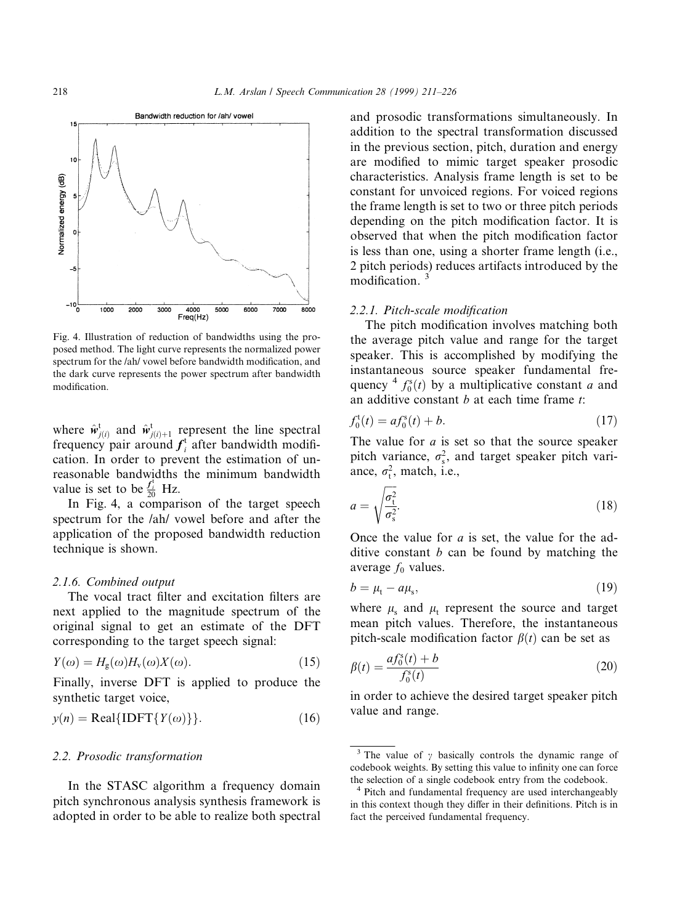

Fig. 4. Illustration of reduction of bandwidths using the proposed method. The light curve represents the normalized power spectrum for the /ah/ vowel before bandwidth modification, and the dark curve represents the power spectrum after bandwidth modification.

where  $\hat{w}^t_{j(i)}$  and  $\hat{w}^t_{j(i)+1}$  represent the line spectral frequency pair around  $f_i^t$  after bandwidth modification. In order to prevent the estimation of unreasonable bandwidths the minimum bandwidth value is set to be  $\frac{f_i^t}{20}$  Hz.

In Fig. 4, a comparison of the target speech spectrum for the /ah/ vowel before and after the application of the proposed bandwidth reduction technique is shown.

### 2.1.6. Combined output

The vocal tract filter and excitation filters are next applied to the magnitude spectrum of the original signal to get an estimate of the DFT corresponding to the target speech signal:

$$
Y(\omega) = H_{\rm g}(\omega)H_{\rm v}(\omega)X(\omega). \tag{15}
$$

Finally, inverse DFT is applied to produce the synthetic target voice,

$$
y(n) = Real{IDFT{Y(\omega)}}.
$$
 (16)

# 2.2. Prosodic transformation

In the STASC algorithm a frequency domain pitch synchronous analysis synthesis framework is adopted in order to be able to realize both spectral and prosodic transformations simultaneously. In addition to the spectral transformation discussed in the previous section, pitch, duration and energy are modified to mimic target speaker prosodic characteristics. Analysis frame length is set to be constant for unvoiced regions. For voiced regions the frame length is set to two or three pitch periods depending on the pitch modification factor. It is observed that when the pitch modification factor is less than one, using a shorter frame length (i.e., 2 pitch periods) reduces artifacts introduced by the modification.

# 2.2.1. Pitch-scale modification

The pitch modification involves matching both the average pitch value and range for the target speaker. This is accomplished by modifying the instantaneous source speaker fundamental frequency  $4 f_0^s(t)$  by a multiplicative constant a and an additive constant  $b$  at each time frame  $t$ :

$$
f_0^{\rm t}(t) = a f_0^{\rm s}(t) + b. \tag{17}
$$

The value for  $a$  is set so that the source speaker pitch variance,  $\sigma_s^2$ , and target speaker pitch variance,  $\sigma_t^2$ , match, i.e.,

$$
a = \sqrt{\frac{\sigma_{\rm t}^2}{\sigma_{\rm s}^2}}.\tag{18}
$$

Once the value for a is set, the value for the additive constant  $b$  can be found by matching the average  $f_0$  values.

$$
b = \mu_{t} - a\mu_{s},\tag{19}
$$

where  $\mu_s$  and  $\mu_t$  represent the source and target mean pitch values. Therefore, the instantaneous pitch-scale modification factor  $\beta(t)$  can be set as

$$
\beta(t) = \frac{af_0^s(t) + b}{f_0^s(t)}
$$
\n(20)

in order to achieve the desired target speaker pitch value and range.

<sup>&</sup>lt;sup>3</sup> The value of  $\gamma$  basically controls the dynamic range of codebook weights. By setting this value to infinity one can force the selection of <sup>a</sup> single codebook entry from the codebook. <sup>4</sup> Pitch and fundamental frequency are used interchangeably

in this context though they differ in their definitions. Pitch is in fact the perceived fundamental frequency.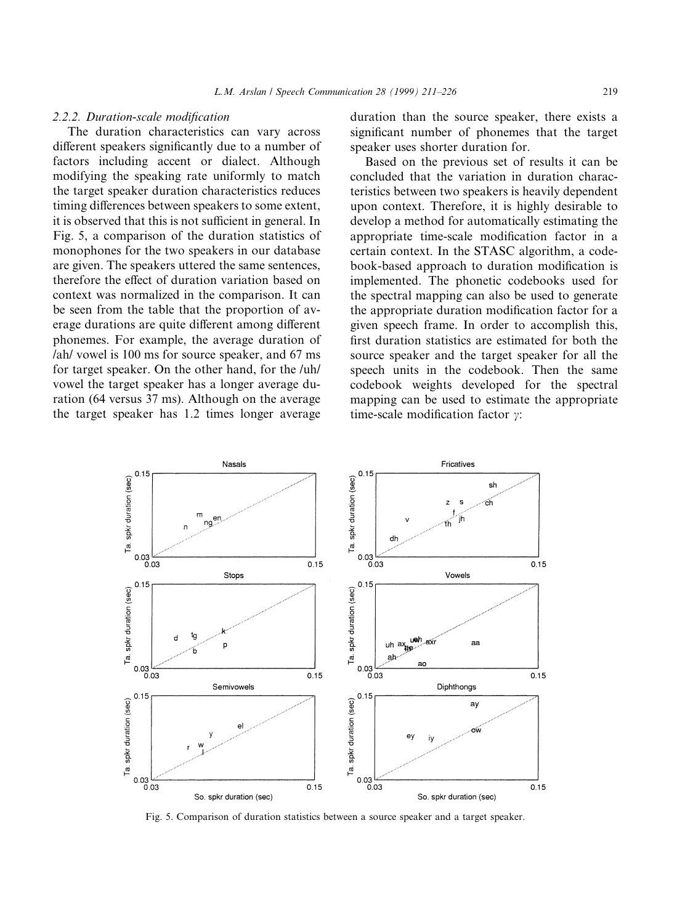# 2.2.2. Duration-scale modification

The duration characteristics can vary across different speakers significantly due to a number of factors including accent or dialect. Although modifying the speaking rate uniformly to match the target speaker duration characteristics reduces timing differences between speakers to some extent, it is observed that this is not sufficient in general. In Fig. 5, a comparison of the duration statistics of monophones for the two speakers in our database are given. The speakers uttered the same sentences, therefore the effect of duration variation based on context was normalized in the comparison. It can be seen from the table that the proportion of average durations are quite different among different phonemes. For example, the average duration of /ah/ vowel is 100 ms for source speaker, and 67 ms for target speaker. On the other hand, for the /uh/ vowel the target speaker has a longer average duration (64 versus 37 ms). Although on the average the target speaker has 1.2 times longer average duration than the source speaker, there exists a significant number of phonemes that the target speaker uses shorter duration for.

Based on the previous set of results it can be concluded that the variation in duration characteristics between two speakers is heavily dependent upon context. Therefore, it is highly desirable to develop a method for automatically estimating the appropriate time-scale modification factor in a certain context. In the STASC algorithm, a codebook-based approach to duration modification is implemented. The phonetic codebooks used for the spectral mapping can also be used to generate the appropriate duration modification factor for a given speech frame. In order to accomplish this, first duration statistics are estimated for both the source speaker and the target speaker for all the speech units in the codebook. Then the same codebook weights developed for the spectral mapping can be used to estimate the appropriate time-scale modification factor  $\gamma$ :



Fig. 5. Comparison of duration statistics between a source speaker and a target speaker.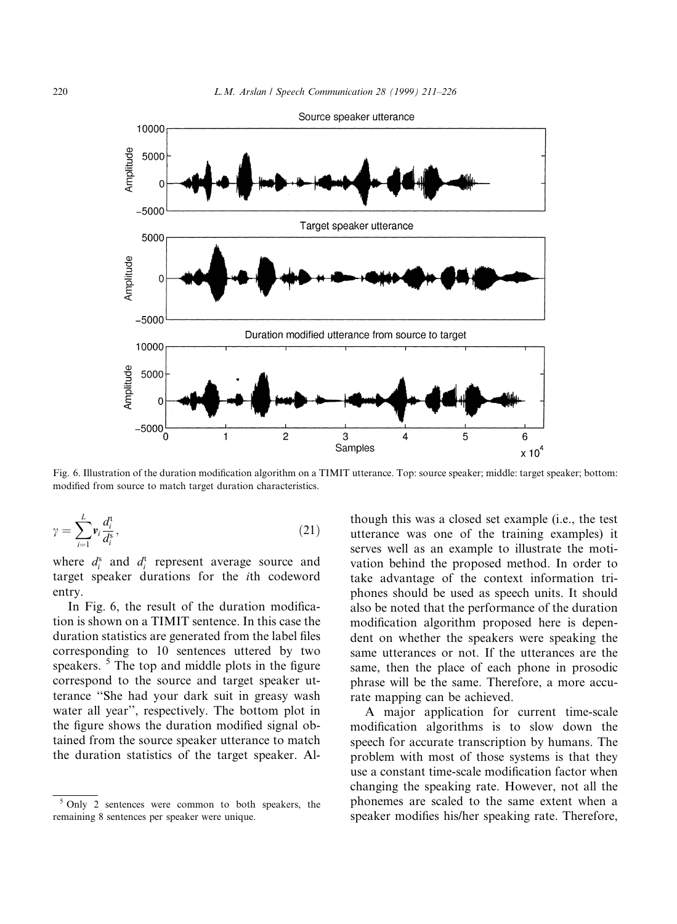

Fig. 6. Illustration of the duration modification algorithm on a TIMIT utterance. Top: source speaker; middle: target speaker; bottom: modified from source to match target duration characteristics.

$$
\gamma = \sum_{i=1}^{L} \mathbf{v}_i \frac{d_i^{\mathsf{t}}}{d_i^{\mathsf{B}}},\tag{21}
$$

where  $d_i^s$  and  $d_i^t$  represent average source and target speaker durations for the ith codeword entry.

In Fig. 6, the result of the duration modification is shown on a TIMIT sentence. In this case the duration statistics are generated from the label files corresponding to 10 sentences uttered by two speakers.  $5$  The top and middle plots in the figure correspond to the source and target speaker utterance "She had your dark suit in greasy wash water all year'', respectively. The bottom plot in the figure shows the duration modified signal obtained from the source speaker utterance to match the duration statistics of the target speaker. Although this was a closed set example (i.e., the test utterance was one of the training examples) it serves well as an example to illustrate the motivation behind the proposed method. In order to take advantage of the context information triphones should be used as speech units. It should also be noted that the performance of the duration modification algorithm proposed here is dependent on whether the speakers were speaking the same utterances or not. If the utterances are the same, then the place of each phone in prosodic phrase will be the same. Therefore, a more accurate mapping can be achieved.

A major application for current time-scale modification algorithms is to slow down the speech for accurate transcription by humans. The problem with most of those systems is that they use a constant time-scale modification factor when changing the speaking rate. However, not all the phonemes are scaled to the same extent when a speaker modifies his/her speaking rate. Therefore,

<sup>5</sup> Only 2 sentences were common to both speakers, the remaining 8 sentences per speaker were unique.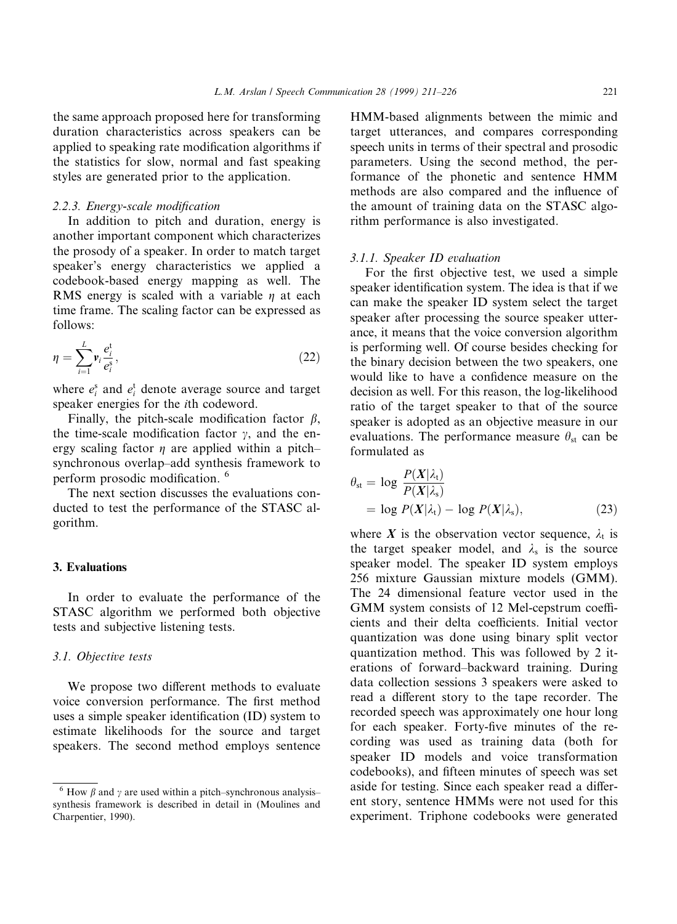the same approach proposed here for transforming duration characteristics across speakers can be applied to speaking rate modification algorithms if the statistics for slow, normal and fast speaking styles are generated prior to the application.

# 2.2.3. Energy-scale modification

In addition to pitch and duration, energy is another important component which characterizes the prosody of a speaker. In order to match target speaker's energy characteristics we applied a codebook-based energy mapping as well. The RMS energy is scaled with a variable  $\eta$  at each time frame. The scaling factor can be expressed as follows:

$$
\eta = \sum_{i=1}^{L} \mathbf{v}_i \frac{e_i^{\mathbf{t}}}{e_i^{\mathbf{s}}},\tag{22}
$$

where  $e_i^s$  and  $e_i^t$  denote average source and target speaker energies for the ith codeword.

Finally, the pitch-scale modification factor  $\beta$ , the time-scale modification factor  $\gamma$ , and the energy scaling factor  $\eta$  are applied within a pitchsynchronous overlap-add synthesis framework to perform prosodic modification. <sup>6</sup>

The next section discusses the evaluations conducted to test the performance of the STASC algorithm.

# 3. Evaluations

In order to evaluate the performance of the STASC algorithm we performed both objective tests and subjective listening tests.

# 3.1. Objective tests

We propose two different methods to evaluate voice conversion performance. The first method uses a simple speaker identification (ID) system to estimate likelihoods for the source and target speakers. The second method employs sentence

HMM-based alignments between the mimic and target utterances, and compares corresponding speech units in terms of their spectral and prosodic parameters. Using the second method, the performance of the phonetic and sentence HMM methods are also compared and the influence of the amount of training data on the STASC algorithm performance is also investigated.

# 3.1.1. Speaker ID evaluation

For the first objective test, we used a simple speaker identification system. The idea is that if we can make the speaker ID system select the target speaker after processing the source speaker utterance, it means that the voice conversion algorithm is performing well. Of course besides checking for the binary decision between the two speakers, one would like to have a confidence measure on the decision as well. For this reason, the log-likelihood ratio of the target speaker to that of the source speaker is adopted as an objective measure in our evaluations. The performance measure  $\theta_{st}$  can be formulated as

$$
\theta_{st} = \log \frac{P(X|\lambda_t)}{P(X|\lambda_s)}
$$
  
= log  $P(X|\lambda_t) - \log P(X|\lambda_s)$ , (23)

where X is the observation vector sequence,  $\lambda_t$  is the target speaker model, and  $\lambda_s$  is the source speaker model. The speaker ID system employs 256 mixture Gaussian mixture models (GMM). The 24 dimensional feature vector used in the GMM system consists of 12 Mel-cepstrum coefficients and their delta coefficients. Initial vector quantization was done using binary split vector quantization method. This was followed by 2 iterations of forward-backward training. During data collection sessions 3 speakers were asked to read a different story to the tape recorder. The recorded speech was approximately one hour long for each speaker. Forty-five minutes of the recording was used as training data (both for speaker ID models and voice transformation codebooks), and fifteen minutes of speech was set aside for testing. Since each speaker read a different story, sentence HMMs were not used for this experiment. Triphone codebooks were generated

<sup>&</sup>lt;sup>6</sup> How  $\beta$  and  $\gamma$  are used within a pitch-synchronous analysissynthesis framework is described in detail in (Moulines and Charpentier, 1990).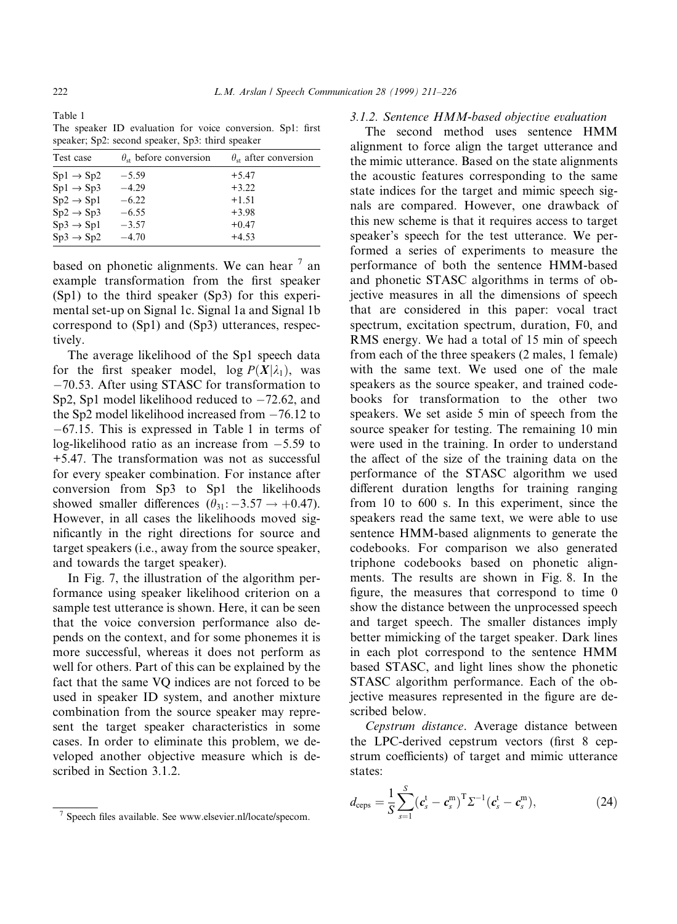Table 1 The speaker ID evaluation for voice conversion. Sp1: first speaker; Sp2: second speaker, Sp3: third speaker

| Test case             | $\theta_{st}$ before conversion | $\theta_{st}$ after conversion |
|-----------------------|---------------------------------|--------------------------------|
| $Sp1 \rightarrow Sp2$ | $-5.59$                         | $+5.47$                        |
| $Sp1 \rightarrow Sp3$ | $-4.29$                         | $+3.22$                        |
| $Sp2 \rightarrow Sp1$ | $-6.22$                         | $+1.51$                        |
| $Sp2 \rightarrow Sp3$ | $-6.55$                         | $+3.98$                        |
| $Sp3 \rightarrow Sp1$ | $-3.57$                         | $+0.47$                        |
| $Sp3 \rightarrow Sp2$ | $-4.70$                         | $+4.53$                        |
|                       |                                 |                                |

based on phonetic alignments. We can hear  $<sup>7</sup>$  an</sup> example transformation from the first speaker (Sp1) to the third speaker (Sp3) for this experimental set-up on Signal 1c. Signal 1a and Signal 1b correspond to (Sp1) and (Sp3) utterances, respectively.

The average likelihood of the Sp1 speech data for the first speaker model,  $\log P(X|\lambda_1)$ , was  $-70.53$ . After using STASC for transformation to Sp2, Sp1 model likelihood reduced to  $-72.62$ , and the Sp2 model likelihood increased from  $-76.12$  to  $-67.15$ . This is expressed in Table 1 in terms of log-likelihood ratio as an increase from  $-5.59$  to +5.47. The transformation was not as successful for every speaker combination. For instance after conversion from Sp3 to Sp1 the likelihoods showed smaller differences  $(\theta_{31}: -3.57 \rightarrow +0.47)$ . However, in all cases the likelihoods moved significantly in the right directions for source and target speakers (i.e., away from the source speaker, and towards the target speaker).

In Fig. 7, the illustration of the algorithm performance using speaker likelihood criterion on a sample test utterance is shown. Here, it can be seen that the voice conversion performance also depends on the context, and for some phonemes it is more successful, whereas it does not perform as well for others. Part of this can be explained by the fact that the same VQ indices are not forced to be used in speaker ID system, and another mixture combination from the source speaker may represent the target speaker characteristics in some cases. In order to eliminate this problem, we developed another objective measure which is described in Section 3.1.2.

#### 3.1.2. Sentence HMM-based objective evaluation

The second method uses sentence HMM alignment to force align the target utterance and the mimic utterance. Based on the state alignments the acoustic features corresponding to the same state indices for the target and mimic speech signals are compared. However, one drawback of this new scheme is that it requires access to target speaker's speech for the test utterance. We performed a series of experiments to measure the performance of both the sentence HMM-based and phonetic STASC algorithms in terms of objective measures in all the dimensions of speech that are considered in this paper: vocal tract spectrum, excitation spectrum, duration, F0, and RMS energy. We had a total of 15 min of speech from each of the three speakers (2 males, 1 female) with the same text. We used one of the male speakers as the source speaker, and trained codebooks for transformation to the other two speakers. We set aside 5 min of speech from the source speaker for testing. The remaining 10 min were used in the training. In order to understand the affect of the size of the training data on the performance of the STASC algorithm we used different duration lengths for training ranging from 10 to 600 s. In this experiment, since the speakers read the same text, we were able to use sentence HMM-based alignments to generate the codebooks. For comparison we also generated triphone codebooks based on phonetic alignments. The results are shown in Fig. 8. In the figure, the measures that correspond to time  $0$ show the distance between the unprocessed speech and target speech. The smaller distances imply better mimicking of the target speaker. Dark lines in each plot correspond to the sentence HMM based STASC, and light lines show the phonetic STASC algorithm performance. Each of the objective measures represented in the figure are described below.

Cepstrum distance. Average distance between the LPC-derived cepstrum vectors (first 8 cepstrum coefficients) of target and mimic utterance states:

$$
d_{\text{ceps}} = \frac{1}{S} \sum_{s=1}^{S} (\boldsymbol{c}_{s}^{\text{t}} - \boldsymbol{c}_{s}^{\text{m}})^{\text{T}} \Sigma^{-1} (\boldsymbol{c}_{s}^{\text{t}} - \boldsymbol{c}_{s}^{\text{m}}), \tag{24}
$$

 $\frac{7}{1}$  Speech files available. See www.elsevier.nl/locate/specom.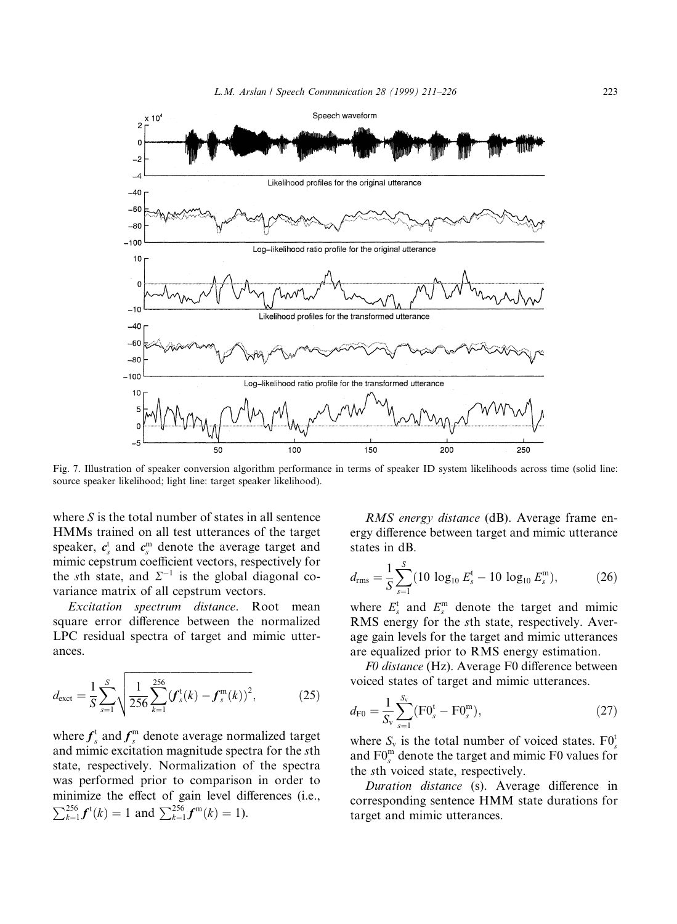

Fig. 7. Illustration of speaker conversion algorithm performance in terms of speaker ID system likelihoods across time (solid line: source speaker likelihood; light line: target speaker likelihood).

where S is the total number of states in all sentence HMMs trained on all test utterances of the target speaker,  $c_s^t$  and  $c_s^m$  denote the average target and mimic cepstrum coefficient vectors, respectively for the sth state, and  $\Sigma^{-1}$  is the global diagonal covariance matrix of all cepstrum vectors.

Excitation spectrum distance. Root mean square error difference between the normalized LPC residual spectra of target and mimic utterances.

$$
d_{\text{exct}} = \frac{1}{S} \sum_{s=1}^{S} \sqrt{\frac{1}{256} \sum_{k=1}^{256} (f_s^{\text{t}}(k) - f_s^{\text{m}}(k))^2},
$$
(25)

where  $f_s^{\rm t}$  and  $f_s^{\rm m}$  denote average normalized target and mimic excitation magnitude spectra for the sth state, respectively. Normalization of the spectra was performed prior to comparison in order to minimize the effect of gain level differences (i.e.,  $\sum_{k=1}^{256} f^{\text{t}}(k) = 1$  and  $\sum_{k=1}^{256} f^{\text{m}}(k) = 1$ ).

RMS energy distance (dB). Average frame energy difference between target and mimic utterance states in dB.

$$
d_{\rm rms} = \frac{1}{S} \sum_{s=1}^{S} (10 \log_{10} E_s^{\rm t} - 10 \log_{10} E_s^{\rm m}), \tag{26}
$$

where  $E_s^t$  and  $E_s^m$  denote the target and mimic RMS energy for the sth state, respectively. Average gain levels for the target and mimic utterances are equalized prior to RMS energy estimation.

F0 distance (Hz). Average F0 difference between voiced states of target and mimic utterances.

$$
d_{\rm F0} = \frac{1}{S_{\rm v}} \sum_{s=1}^{S_{\rm v}} (\rm F0_s^t - \rm F0_s^m), \qquad (27)
$$

where  $S_v$  is the total number of voiced states.  $F0_s^t$ and  $FO_s^m$  denote the target and mimic F0 values for the sth voiced state, respectively.

Duration distance (s). Average difference in corresponding sentence HMM state durations for target and mimic utterances.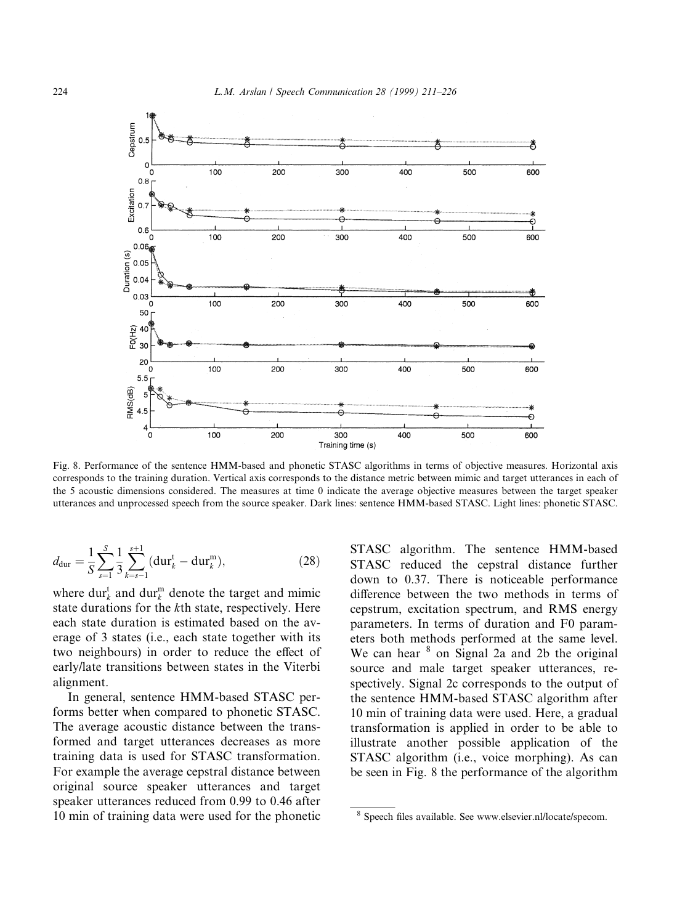

Fig. 8. Performance of the sentence HMM-based and phonetic STASC algorithms in terms of objective measures. Horizontal axis corresponds to the training duration. Vertical axis corresponds to the distance metric between mimic and target utterances in each of the 5 acoustic dimensions considered. The measures at time 0 indicate the average objective measures between the target speaker utterances and unprocessed speech from the source speaker. Dark lines: sentence HMM-based STASC. Light lines: phonetic STASC.

$$
d_{\text{dur}} = \frac{1}{S} \sum_{s=1}^{S} \frac{1}{3} \sum_{k=s-1}^{s+1} (\text{dur}_k^{\text{t}} - \text{dur}_k^{\text{m}}), \tag{28}
$$

where  $dur_k^t$  and  $dur_k^m$  denote the target and mimic state durations for the kth state, respectively. Here each state duration is estimated based on the average of 3 states (i.e., each state together with its two neighbours) in order to reduce the effect of early/late transitions between states in the Viterbi alignment.

In general, sentence HMM-based STASC performs better when compared to phonetic STASC. The average acoustic distance between the transformed and target utterances decreases as more training data is used for STASC transformation. For example the average cepstral distance between original source speaker utterances and target speaker utterances reduced from 0.99 to 0.46 after 10 min of training data were used for the phonetic STASC algorithm. The sentence HMM-based STASC reduced the cepstral distance further down to 0.37. There is noticeable performance difference between the two methods in terms of cepstrum, excitation spectrum, and RMS energy parameters. In terms of duration and F0 parameters both methods performed at the same level. We can hear  $8$  on Signal 2a and 2b the original source and male target speaker utterances, respectively. Signal 2c corresponds to the output of the sentence HMM-based STASC algorithm after 10 min of training data were used. Here, a gradual transformation is applied in order to be able to illustrate another possible application of the STASC algorithm (i.e., voice morphing). As can be seen in Fig. 8 the performance of the algorithm

<sup>&</sup>lt;sup>8</sup> Speech files available. See www.elsevier.nl/locate/specom.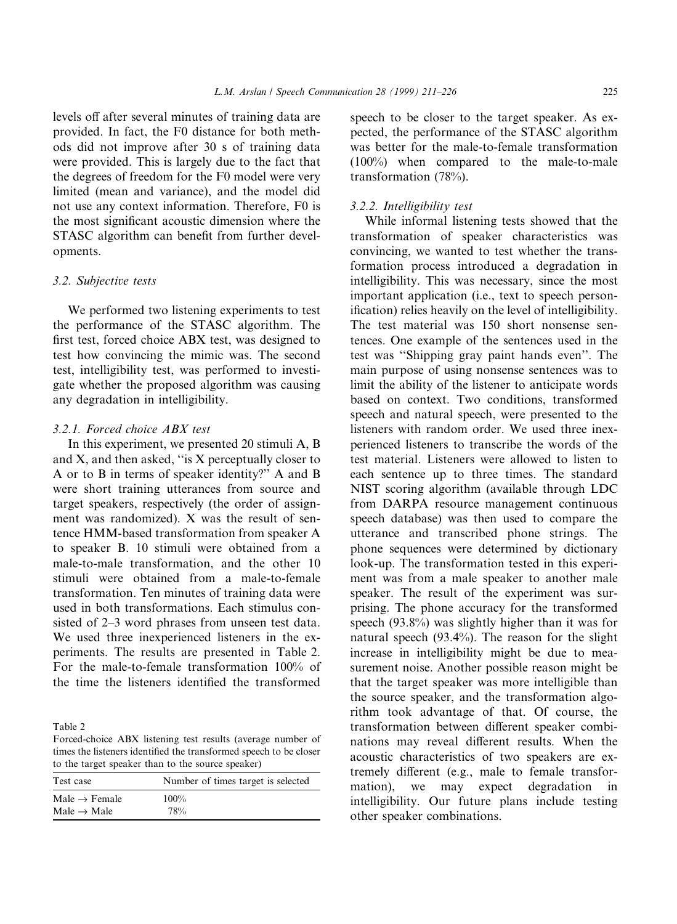levels off after several minutes of training data are provided. In fact, the F0 distance for both methods did not improve after 30 s of training data were provided. This is largely due to the fact that the degrees of freedom for the F0 model were very limited (mean and variance), and the model did not use any context information. Therefore, F0 is the most significant acoustic dimension where the STASC algorithm can benefit from further developments.

# 3.2. Subjective tests

We performed two listening experiments to test the performance of the STASC algorithm. The first test, forced choice ABX test, was designed to test how convincing the mimic was. The second test, intelligibility test, was performed to investigate whether the proposed algorithm was causing any degradation in intelligibility.

## 3.2.1. Forced choice ABX test

In this experiment, we presented 20 stimuli A, B and  $X$ , and then asked, "is  $X$  perceptually closer to A or to B in terms of speaker identity?'' A and B were short training utterances from source and target speakers, respectively (the order of assignment was randomized). X was the result of sentence HMM-based transformation from speaker A to speaker B. 10 stimuli were obtained from a male-to-male transformation, and the other 10 stimuli were obtained from a male-to-female transformation. Ten minutes of training data were used in both transformations. Each stimulus consisted of 2–3 word phrases from unseen test data. We used three inexperienced listeners in the experiments. The results are presented in Table 2. For the male-to-female transformation 100% of the time the listeners identified the transformed

Table 2

Forced-choice ABX listening test results (average number of times the listeners identified the transformed speech to be closer to the target speaker than to the source speaker)

| Test case                 | Number of times target is selected |
|---------------------------|------------------------------------|
| Male $\rightarrow$ Female | $100\%$                            |
| Male $\rightarrow$ Male   | 78%                                |

speech to be closer to the target speaker. As expected, the performance of the STASC algorithm was better for the male-to-female transformation (100%) when compared to the male-to-male transformation (78%).

## 3.2.2. Intelligibility test

While informal listening tests showed that the transformation of speaker characteristics was convincing, we wanted to test whether the transformation process introduced a degradation in intelligibility. This was necessary, since the most important application (i.e., text to speech personification) relies heavily on the level of intelligibility. The test material was 150 short nonsense sentences. One example of the sentences used in the test was "Shipping gray paint hands even". The main purpose of using nonsense sentences was to limit the ability of the listener to anticipate words based on context. Two conditions, transformed speech and natural speech, were presented to the listeners with random order. We used three inexperienced listeners to transcribe the words of the test material. Listeners were allowed to listen to each sentence up to three times. The standard NIST scoring algorithm (available through LDC from DARPA resource management continuous speech database) was then used to compare the utterance and transcribed phone strings. The phone sequences were determined by dictionary look-up. The transformation tested in this experiment was from a male speaker to another male speaker. The result of the experiment was surprising. The phone accuracy for the transformed speech (93.8%) was slightly higher than it was for natural speech (93.4%). The reason for the slight increase in intelligibility might be due to measurement noise. Another possible reason might be that the target speaker was more intelligible than the source speaker, and the transformation algorithm took advantage of that. Of course, the transformation between different speaker combinations may reveal different results. When the acoustic characteristics of two speakers are extremely different (e.g., male to female transformation), we may expect degradation in intelligibility. Our future plans include testing other speaker combinations.